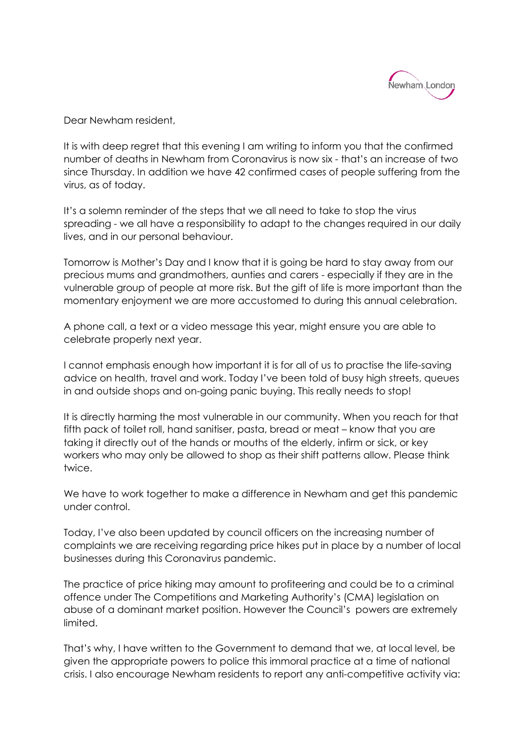

Dear Newham resident,

It is with deep regret that this evening I am writing to inform you that the confirmed number of deaths in Newham from Coronavirus is now six - that's an increase of two since Thursday. In addition we have 42 confirmed cases of people suffering from the virus, as of today.

It's a solemn reminder of the steps that we all need to take to stop the virus spreading - we all have a responsibility to adapt to the changes required in our daily lives, and in our personal behaviour.

Tomorrow is Mother's Day and I know that it is going be hard to stay away from our precious mums and grandmothers, aunties and carers - especially if they are in the vulnerable group of people at more risk. But the gift of life is more important than the momentary enjoyment we are more accustomed to during this annual celebration.

A phone call, a text or a video message this year, might ensure you are able to celebrate properly next year.

I cannot emphasis enough how important it is for all of us to practise the life-saving advice on health, travel and work. Today I've been told of busy high streets, queues in and outside shops and on-going panic buying. This really needs to stop!

It is directly harming the most vulnerable in our community. When you reach for that fifth pack of toilet roll, hand sanitiser, pasta, bread or meat – know that you are taking it directly out of the hands or mouths of the elderly, infirm or sick, or key workers who may only be allowed to shop as their shift patterns allow. Please think twice.

We have to work together to make a difference in Newham and get this pandemic under control.

Today, I've also been updated by council officers on the increasing number of complaints we are receiving regarding price hikes put in place by a number of local businesses during this Coronavirus pandemic.

The practice of price hiking may amount to profiteering and could be to a criminal offence under The Competitions and Marketing Authority's (CMA) legislation on abuse of a dominant market position. However the Council's powers are extremely limited.

That's why, I have written to the Government to demand that we, at local level, be given the appropriate powers to police this immoral practice at a time of national crisis. I also encourage Newham residents to report any anti-competitive activity via: